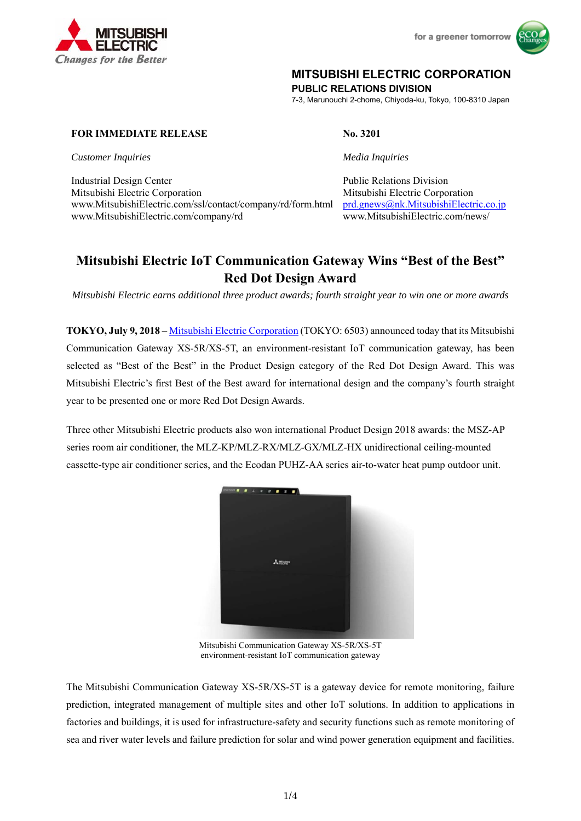

for a greener tomorrow



# **MITSUBISHI ELECTRIC CORPORATION**

**PUBLIC RELATIONS DIVISION** 

7-3, Marunouchi 2-chome, Chiyoda-ku, Tokyo, 100-8310 Japan

# **FOR IMMEDIATE RELEASE No. 3201**

*Customer Inquiries Media Inquiries* 

Industrial Design Center Public Relations Division Mitsubishi Electric Corporation Mitsubishi Electric Corporation www.MitsubishiElectric.com/ssl/contact/company/rd/form.html prd.gnews@nk.MitsubishiElectric.co.jp www.MitsubishiElectric.com/company/rd www.MitsubishiElectric.com/news/

# **Mitsubishi Electric IoT Communication Gateway Wins "Best of the Best" Red Dot Design Award**

*Mitsubishi Electric earns additional three product awards; fourth straight year to win one or more awards*

**TOKYO, July 9, 2018** – Mitsubishi Electric Corporation (TOKYO: 6503) announced today that its Mitsubishi Communication Gateway XS-5R/XS-5T, an environment-resistant IoT communication gateway, has been selected as "Best of the Best" in the Product Design category of the Red Dot Design Award. This was Mitsubishi Electric's first Best of the Best award for international design and the company's fourth straight year to be presented one or more Red Dot Design Awards.

Three other Mitsubishi Electric products also won international Product Design 2018 awards: the MSZ-AP series room air conditioner, the MLZ-KP/MLZ-RX/MLZ-GX/MLZ-HX unidirectional ceiling-mounted cassette-type air conditioner series, and the Ecodan PUHZ-AA series air-to-water heat pump outdoor unit.



Mitsubishi Communication Gateway XS-5R/XS-5T environment-resistant IoT communication gateway

The Mitsubishi Communication Gateway XS-5R/XS-5T is a gateway device for remote monitoring, failure prediction, integrated management of multiple sites and other IoT solutions. In addition to applications in factories and buildings, it is used for infrastructure-safety and security functions such as remote monitoring of sea and river water levels and failure prediction for solar and wind power generation equipment and facilities.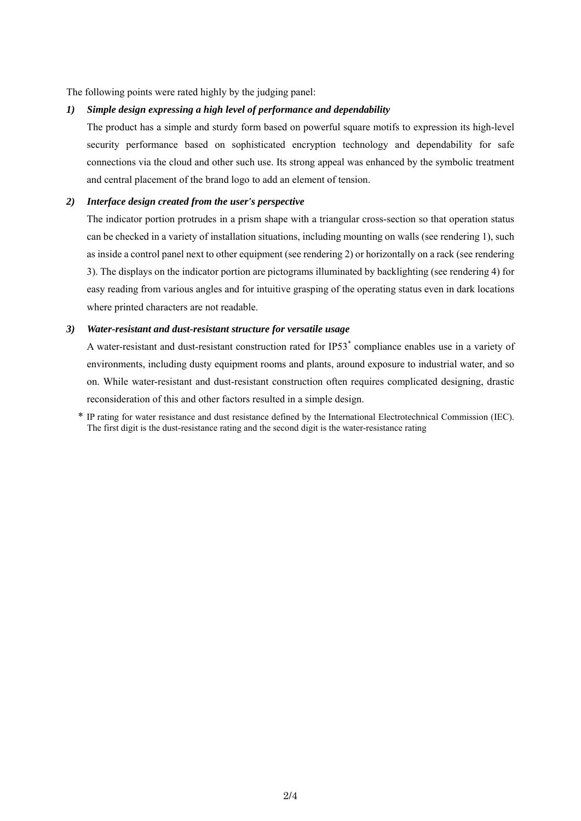The following points were rated highly by the judging panel:

#### *1) Simple design expressing a high level of performance and dependability*

The product has a simple and sturdy form based on powerful square motifs to expression its high-level security performance based on sophisticated encryption technology and dependability for safe connections via the cloud and other such use. Its strong appeal was enhanced by the symbolic treatment and central placement of the brand logo to add an element of tension.

### *2) Interface design created from the user's perspective*

The indicator portion protrudes in a prism shape with a triangular cross-section so that operation status can be checked in a variety of installation situations, including mounting on walls (see rendering 1), such as inside a control panel next to other equipment (see rendering 2) or horizontally on a rack (see rendering 3). The displays on the indicator portion are pictograms illuminated by backlighting (see rendering 4) for easy reading from various angles and for intuitive grasping of the operating status even in dark locations where printed characters are not readable.

### *3) Water-resistant and dust-resistant structure for versatile usage*

A water-resistant and dust-resistant construction rated for IP53<sup>\*</sup> compliance enables use in a variety of environments, including dusty equipment rooms and plants, around exposure to industrial water, and so on. While water-resistant and dust-resistant construction often requires complicated designing, drastic reconsideration of this and other factors resulted in a simple design.

\* IP rating for water resistance and dust resistance defined by the International Electrotechnical Commission (IEC). The first digit is the dust-resistance rating and the second digit is the water-resistance rating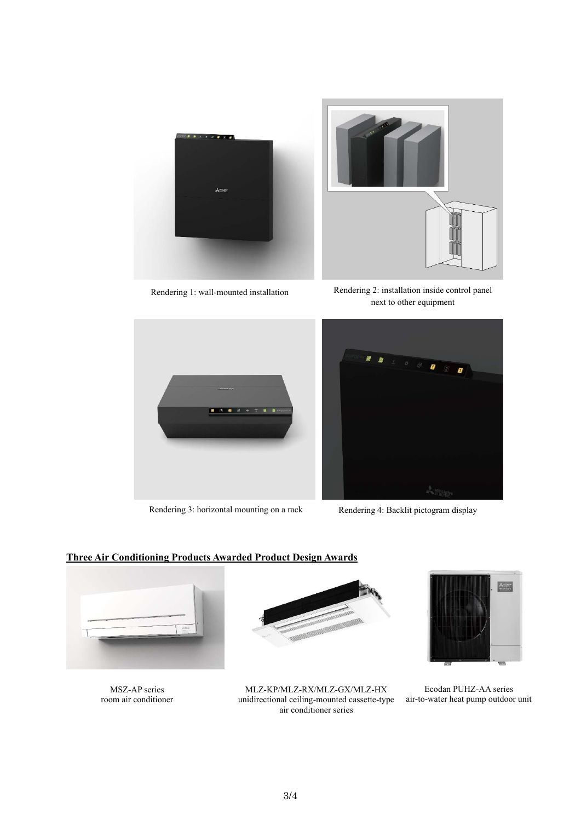



Rendering 1: wall-mounted installation Rendering 2: installation inside control panel next to other equipment



Rendering 3: horizontal mounting on a rack Rendering 4: Backlit pictogram display



# **Three Air Conditioning Products Awarded Product Design Awards**



MSZ-AP series room air conditioner



MLZ-KP/MLZ-RX/MLZ-GX/MLZ-HX unidirectional ceiling-mounted cassette-type air conditioner series



Ecodan PUHZ-AA series air-to-water heat pump outdoor unit